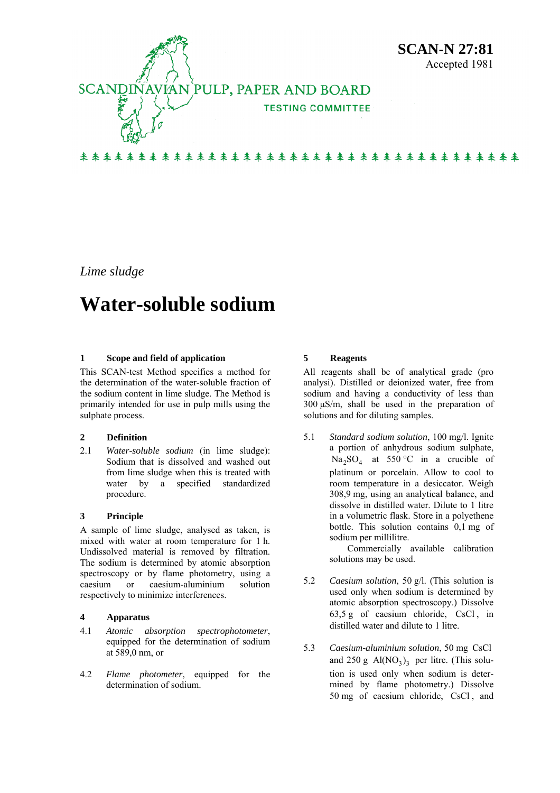

*Lime sludge* 

# **Water-soluble sodium**

### **1 Scope and field of application**

This SCAN-test Method specifies a method for the determination of the water-soluble fraction of the sodium content in lime sludge. The Method is primarily intended for use in pulp mills using the sulphate process.

### **2 Definition**

2.1 *Water-soluble sodium* (in lime sludge): Sodium that is dissolved and washed out from lime sludge when this is treated with water by a specified standardized procedure.

### **3 Principle**

A sample of lime sludge, analysed as taken, is mixed with water at room temperature for 1 h. Undissolved material is removed by filtration. The sodium is determined by atomic absorption spectroscopy or by flame photometry, using a caesium or caesium-aluminium solution respectively to minimize interferences.

### **4 Apparatus**

- 4.1 *Atomic absorption spectrophotometer*, equipped for the determination of sodium at 589,0 nm, or
- 4.2 *Flame photometer*, equipped for the determination of sodium.

### **5 Reagents**

All reagents shall be of analytical grade (pro analysi). Distilled or deionized water, free from sodium and having a conductivity of less than 300 μS/m, shall be used in the preparation of solutions and for diluting samples.

5.1 *Standard sodium solution*, 100 mg/l. Ignite a portion of anhydrous sodium sulphate,  $Na<sub>2</sub>SO<sub>4</sub>$  at 550 °C in a crucible of platinum or porcelain. Allow to cool to room temperature in a desiccator. Weigh 308,9 mg, using an analytical balance, and dissolve in distilled water. Dilute to 1 litre in a volumetric flask. Store in a polyethene bottle. This solution contains 0,1 mg of sodium per millilitre.

> Commercially available calibration solutions may be used.

- 5.2 *Caesium solution*, 50 g/l. (This solution is used only when sodium is determined by atomic absorption spectroscopy.) Dissolve  $63,5 \text{ g}$  of caesium chloride, CsCl, in distilled water and dilute to 1 litre.
- 5.3 *Caesium-aluminium solution*, 50 mg CsCl and  $250 \text{ g Al}(\text{NO}_3)_3$  per litre. (This solution is used only when sodium is determined by flame photometry.) Dissolve 50 mg of caesium chloride, CsCl , and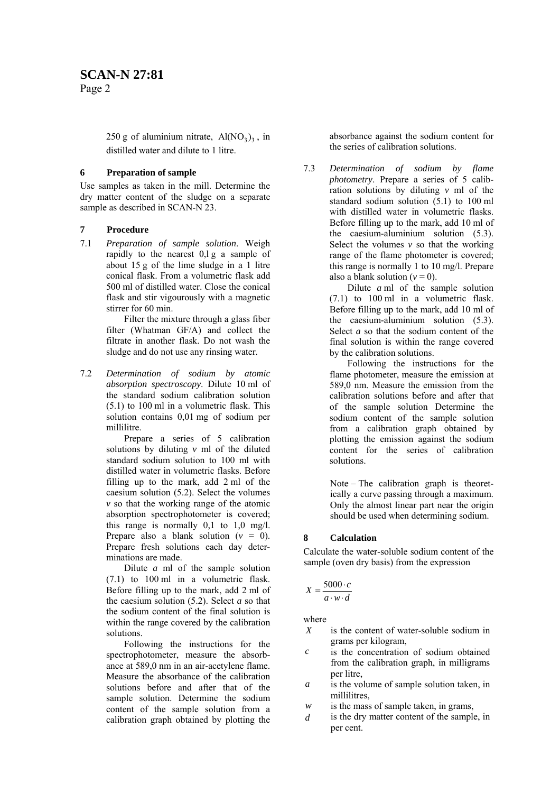# **SCAN-N 27:81**

Page 2

250 g of aluminium nitrate,  $Al(NO<sub>3</sub>)<sub>3</sub>$ , in distilled water and dilute to 1 litre.

### **6 Preparation of sample**

Use samples as taken in the mill. Determine the dry matter content of the sludge on a separate sample as described in SCAN-N 23.

## **7 Procedure**

7.1 *Preparation of sample solution*. Weigh rapidly to the nearest 0,l g a sample of about 15 g of the lime sludge in a 1 litre conical flask. From a volumetric flask add 500 ml of distilled water. Close the conical flask and stir vigourously with a magnetic stirrer for 60 min.

> Filter the mixture through a glass fiber filter (Whatman GF/A) and collect the filtrate in another flask. Do not wash the sludge and do not use any rinsing water.

7.2 *Determination of sodium by atomic absorption spectroscopy*. Dilute 10 ml of the standard sodium calibration solution (5.1) to 100 ml in a volumetric flask. This solution contains 0,01 mg of sodium per millilitre.

Prepare a series of 5 calibration solutions by diluting *v* ml of the diluted standard sodium solution to 100 ml with distilled water in volumetric flasks. Before filling up to the mark, add 2 ml of the caesium solution (5.2). Select the volumes *v* so that the working range of the atomic absorption spectrophotometer is covered; this range is normally  $0,1$  to  $1,0$  mg/l. Prepare also a blank solution  $(v = 0)$ . Prepare fresh solutions each day determinations are made.

Dilute *a* ml of the sample solution (7.1) to 100 ml in a volumetric flask. Before filling up to the mark, add 2 ml of the caesium solution (5.2). Select *a* so that the sodium content of the final solution is within the range covered by the calibration solutions.

Following the instructions for the spectrophotometer, measure the absorbance at 589,0 nm in an air-acetylene flame. Measure the absorbance of the calibration solutions before and after that of the sample solution. Determine the sodium content of the sample solution from a calibration graph obtained by plotting the

absorbance against the sodium content for the series of calibration solutions.

7.3 *Determination of sodium by flame photometry*. Prepare a series of 5 calibration solutions by diluting *v* ml of the standard sodium solution  $(5.1)$  to 100 ml with distilled water in volumetric flasks. Before filling up to the mark, add 10 ml of the caesium-aluminium solution (5.3). Select the volumes  $v$  so that the working range of the flame photometer is covered; this range is normally 1 to 10 mg/l. Prepare also a blank solution  $(v = 0)$ .

> Dilute *a* ml of the sample solution (7.1) to 100 ml in a volumetric flask. Before filling up to the mark, add 10 ml of the caesium-aluminium solution (5.3). Select *a* so that the sodium content of the final solution is within the range covered by the calibration solutions.

> Following the instructions for the flame photometer, measure the emission at 589,0 nm. Measure the emission from the calibration solutions before and after that of the sample solution Determine the sodium content of the sample solution from a calibration graph obtained by plotting the emission against the sodium content for the series of calibration solutions.

Note − The calibration graph is theoretically a curve passing through a maximum. Only the almost linear part near the origin should be used when determining sodium.

# **8 Calculation**

Calculate the water-soluble sodium content of the sample (oven dry basis) from the expression

$$
X = \frac{5000 \cdot c}{a \cdot w \cdot d}
$$

where

- *X* is the content of water-soluble sodium in grams per kilogram,
- *c* is the concentration of sodium obtained from the calibration graph, in milligrams per litre,
- *a* is the volume of sample solution taken, in millilitres,
- *w* is the mass of sample taken, in grams,
- *d* is the dry matter content of the sample, in per cent.